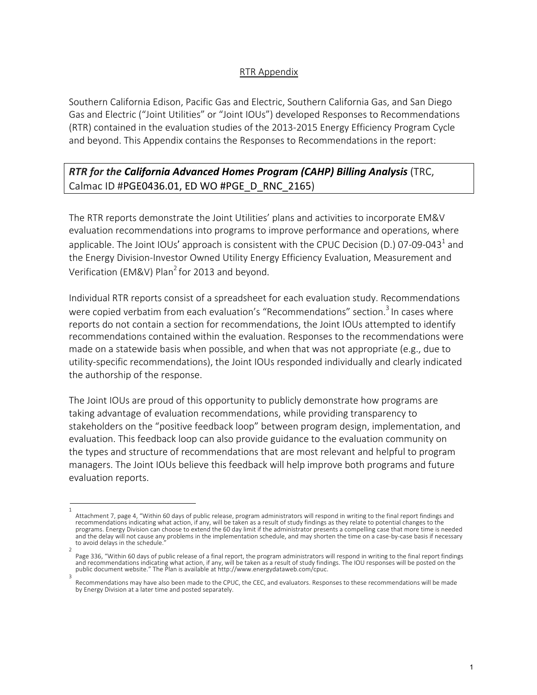### RTR Appendix

Southern California Edison, Pacific Gas and Electric, Southern California Gas, and San Diego Gas and Electric ("Joint Utilities" or "Joint IOUs") developed Responses to Recommendations (RTR) contained in the evaluation studies of the 2013-2015 Energy Efficiency Program Cycle and beyond. This Appendix contains the Responses to Recommendations in the report:

# *RTR for the California Advanced Homes Program (CAHP) Billing Analysis* (TRC, Calmac ID #PGE0436.01, ED WO #PGE\_D\_RNC\_2165)

The RTR reports demonstrate the Joint Utilities' plans and activities to incorporate EM&V evaluation recommendations into programs to improve performance and operations, where applicable. The Joint IOUs' approach is consistent with the CPUC Decision (D.) 07-09-043<sup>1</sup> and the Energy Division-Investor Owned Utility Energy Efficiency Evaluation, Measurement and Verification (EM&V) Plan<sup>2</sup> for 2013 and beyond.

Individual RTR reports consist of a spreadsheet for each evaluation study. Recommendations were copied verbatim from each evaluation's "Recommendations" section.<sup>3</sup> In cases where reports do not contain a section for recommendations, the Joint IOUs attempted to identify recommendations contained within the evaluation. Responses to the recommendations were made on a statewide basis when possible, and when that was not appropriate (e.g., due to utility-specific recommendations), the Joint IOUs responded individually and clearly indicated the authorship of the response.

The Joint IOUs are proud of this opportunity to publicly demonstrate how programs are taking advantage of evaluation recommendations, while providing transparency to stakeholders on the "positive feedback loop" between program design, implementation, and evaluation. This feedback loop can also provide guidance to the evaluation community on the types and structure of recommendations that are most relevant and helpful to program managers. The Joint IOUs believe this feedback will help improve both programs and future evaluation reports.

<sup>1</sup>  Attachment 7, page 4, "Within 60 days of public release, program administrators will respond in writing to the final report findings and recommendations indicating what action, if any, will be taken as a result of study findings as they relate to potential changes to the programs. Energy Division can choose to extend the 60 day limit if the administrator presents a compelling case that more time is needed and the delay will not cause any problems in the implementation schedule, and may shorten the time on a case-by-case basis if necessary to avoid delays in the schedule.

<sup>2</sup>  Page 336, "Within 60 days of public release of a final report, the program administrators will respond in writing to the final report findings and recommendations indicating what action, if any, will be taken as a result of study findings. The IOU responses will be posted on the public document website." The Plan is available at http://www.energydataweb.com/cpuc. 3

Recommendations may have also been made to the CPUC, the CEC, and evaluators. Responses to these recommendations will be made by Energy Division at a later time and posted separately.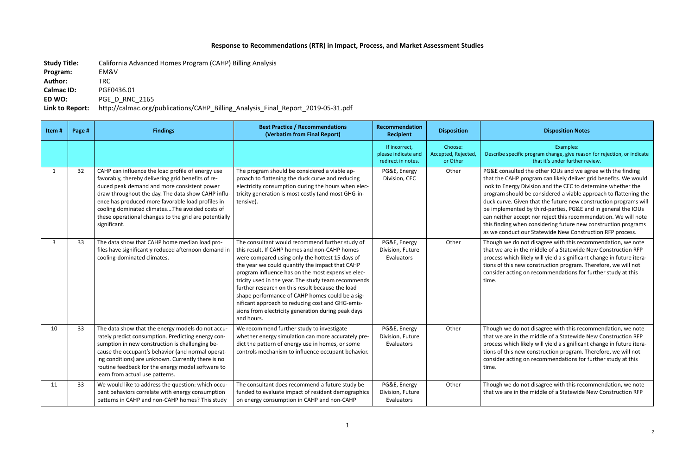## **Response to Recommendations (RTR) in Impact, Process, and Market Assessment Studies**

**Study Title:** California Advanced Homes Program (CAHP) Billing Analysis **Program:** EM&V **Author:** TRC **Calmac ID:** PGE0436.01 **ED WO:** PGE\_D\_RNC\_2165 **Link to Report:** http://calmac.org/publications/CAHP\_Billing\_Analysis\_Final\_Report\_2019-05-31.pdf

> ecific program change, give reason for rejection, or indicate that it's under further review.

> ulted the other IOUs and we agree with the finding HP program can likely deliver grid benefits. We would rgy Division and the CEC to determine whether the ould be considered a viable approach to flattening the . Given that the future new construction programs will ented by third-parties, PG&E and in general the IOUs accept nor reject this recommendation. We will note when considering future new construction programs uct our Statewide New Construction RFP process.

do not disagree with this recommendation, we note In the middle of a Statewide New Construction RFP ich likely will yield a significant change in future iteranew construction program. Therefore, we will not ting on recommendations for further study at this

do not disagree with this recommendation, we note In the middle of a Statewide New Construction RFP ich likely will yield a significant change in future iteranew construction program. Therefore, we will not ting on recommendations for further study at this

do not disagree with this recommendation, we note In the middle of a Statewide New Construction RFP

#### **Recipient Disposition Disposition Notes**

Examples:

| Item#        | Page # | <b>Findings</b>                                                                                                                                                                                                                                                                                                                                                                              | <b>Best Practice / Recommendations</b><br>(Verbatim from Final Report)                                                                                                                                                                                                                                                                                                                                                                                                                                                                            | Recommendation<br><b>Recipient</b>                         | <b>Disposition</b>                         |                                                                                                                                   |
|--------------|--------|----------------------------------------------------------------------------------------------------------------------------------------------------------------------------------------------------------------------------------------------------------------------------------------------------------------------------------------------------------------------------------------------|---------------------------------------------------------------------------------------------------------------------------------------------------------------------------------------------------------------------------------------------------------------------------------------------------------------------------------------------------------------------------------------------------------------------------------------------------------------------------------------------------------------------------------------------------|------------------------------------------------------------|--------------------------------------------|-----------------------------------------------------------------------------------------------------------------------------------|
|              |        |                                                                                                                                                                                                                                                                                                                                                                                              |                                                                                                                                                                                                                                                                                                                                                                                                                                                                                                                                                   | If incorrect,<br>please indicate and<br>redirect in notes. | Choose:<br>Accepted, Rejected,<br>or Other | Describe spe                                                                                                                      |
| $\mathbf{1}$ | 32     | CAHP can influence the load profile of energy use<br>favorably, thereby delivering grid benefits of re-<br>duced peak demand and more consistent power<br>draw throughout the day. The data show CAHP influ-<br>ence has produced more favorable load profiles in<br>cooling dominated climatesThe avoided costs of<br>these operational changes to the grid are potentially<br>significant. | The program should be considered a viable ap-<br>proach to flattening the duck curve and reducing<br>electricity consumption during the hours when elec-<br>tricity generation is most costly (and most GHG-in-<br>tensive).                                                                                                                                                                                                                                                                                                                      | PG&E, Energy<br>Division, CEC                              | Other                                      | PG&E consu<br>that the CA<br>look to Ener<br>program sh<br>duck curve.<br>be impleme<br>can neither<br>this finding<br>as we cond |
| $\mathbf{3}$ | 33     | The data show that CAHP home median load pro-<br>files have significantly reduced afternoon demand in<br>cooling-dominated climates.                                                                                                                                                                                                                                                         | The consultant would recommend further study of<br>this result. If CAHP homes and non-CAHP homes<br>were compared using only the hottest 15 days of<br>the year we could quantify the impact that CAHP<br>program influence has on the most expensive elec-<br>tricity used in the year. The study team recommends<br>further research on this result because the load<br>shape performance of CAHP homes could be a sig-<br>nificant approach to reducing cost and GHG-emis-<br>sions from electricity generation during peak days<br>and hours. | PG&E, Energy<br>Division, Future<br>Evaluators             | Other                                      | Though we<br>that we are<br>process whi<br>tions of this<br>consider act<br>time.                                                 |
| 10           | 33     | The data show that the energy models do not accu-<br>rately predict consumption. Predicting energy con-<br>sumption in new construction is challenging be-<br>cause the occupant's behavior (and normal operat-<br>ing conditions) are unknown. Currently there is no<br>routine feedback for the energy model software to<br>learn from actual use patterns.                                | We recommend further study to investigate<br>whether energy simulation can more accurately pre-<br>dict the pattern of energy use in homes, or some<br>controls mechanism to influence occupant behavior.                                                                                                                                                                                                                                                                                                                                         | PG&E, Energy<br>Division, Future<br>Evaluators             | Other                                      | Though we<br>that we are<br>process whi<br>tions of this<br>consider act<br>time.                                                 |
| 11           | 33     | We would like to address the question: which occu-<br>pant behaviors correlate with energy consumption<br>patterns in CAHP and non-CAHP homes? This study                                                                                                                                                                                                                                    | The consultant does recommend a future study be<br>funded to evaluate impact of resident demographics<br>on energy consumption in CAHP and non-CAHP                                                                                                                                                                                                                                                                                                                                                                                               | PG&E, Energy<br>Division, Future<br><b>Evaluators</b>      | Other                                      | Though we<br>that we are                                                                                                          |